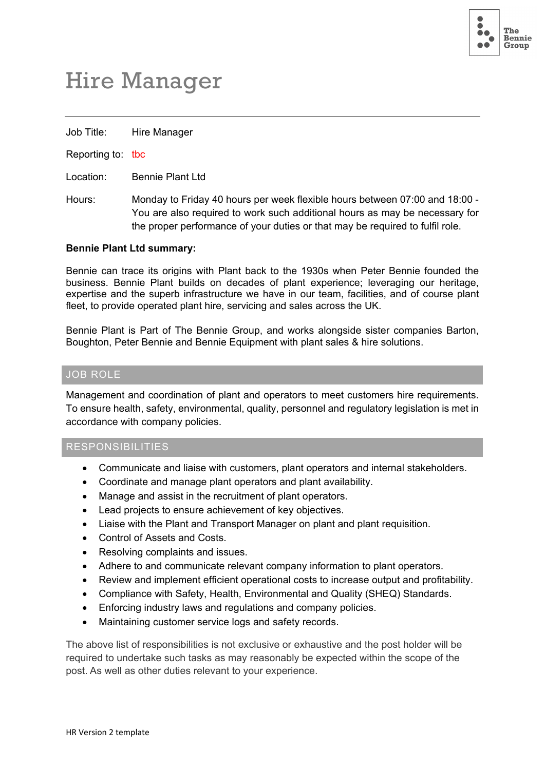

# Hire Manager

Job Title: Hire Manager

Reporting to: tbc

Location: Bennie Plant Ltd

Hours: Monday to Friday 40 hours per week flexible hours between 07:00 and 18:00 - You are also required to work such additional hours as may be necessary for the proper performance of your duties or that may be required to fulfil role.

#### **Bennie Plant Ltd summary:**

Bennie can trace its origins with Plant back to the 1930s when Peter Bennie founded the business. Bennie Plant builds on decades of plant experience; leveraging our heritage, expertise and the superb infrastructure we have in our team, facilities, and of course plant fleet, to provide operated plant hire, servicing and sales across the UK.

Bennie Plant is Part of The Bennie Group, and works alongside sister companies Barton, Boughton, Peter Bennie and Bennie Equipment with plant sales & hire solutions.

#### JOB ROLE

Management and coordination of plant and operators to meet customers hire requirements. To ensure health, safety, environmental, quality, personnel and regulatory legislation is met in accordance with company policies.

#### RESPONSIBILITIES

- Communicate and liaise with customers, plant operators and internal stakeholders.
- Coordinate and manage plant operators and plant availability.
- Manage and assist in the recruitment of plant operators.
- Lead projects to ensure achievement of key objectives.
- Liaise with the Plant and Transport Manager on plant and plant requisition.
- Control of Assets and Costs.
- Resolving complaints and issues.
- Adhere to and communicate relevant company information to plant operators.
- Review and implement efficient operational costs to increase output and profitability.
- Compliance with Safety, Health, Environmental and Quality (SHEQ) Standards.
- Enforcing industry laws and regulations and company policies.
- Maintaining customer service logs and safety records.

The above list of responsibilities is not exclusive or exhaustive and the post holder will be required to undertake such tasks as may reasonably be expected within the scope of the post. As well as other duties relevant to your experience.